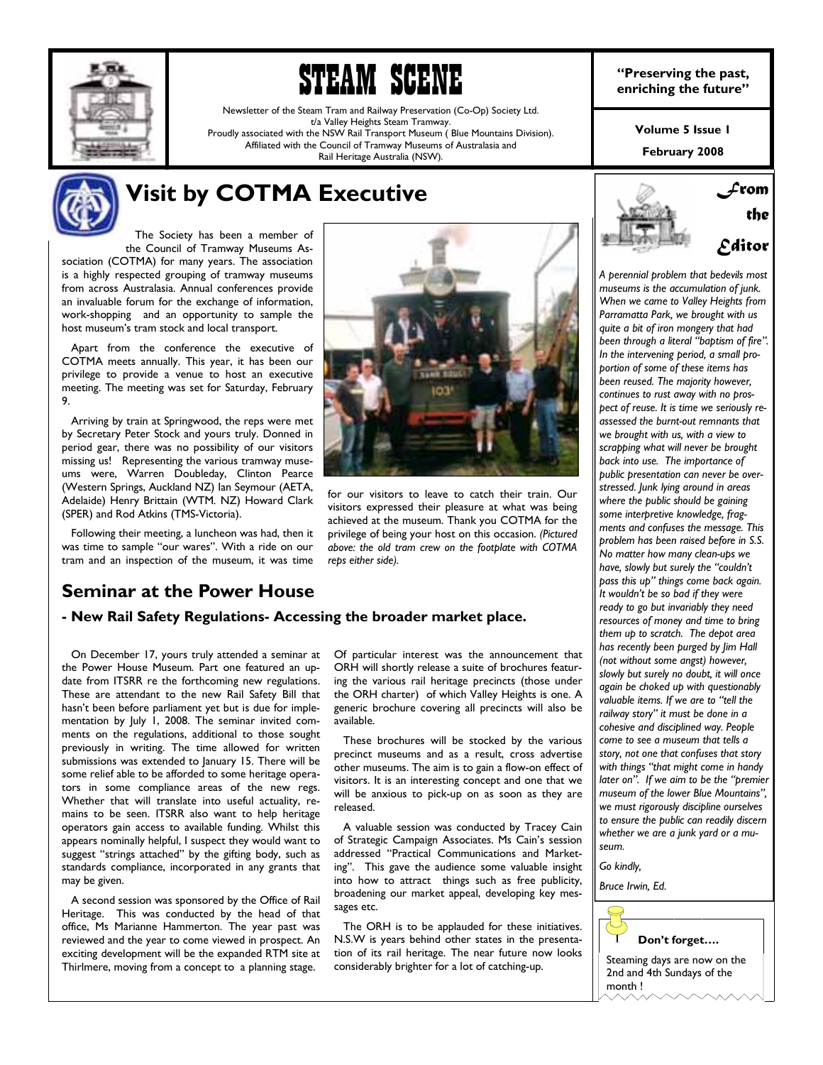

# **IFRAM SCENE enriching the past,**<br> **PLETIM SCENE** enriching the future"

Newsletter of the Steam Tram and Railway Preservation (Co-Op) Society Ltd. t/a Valley Heights Steam Tramway. Proudly associated with the NSW Rail Transport Museum ( Blue Mountains Division). Affiliated with the Council of Tramway Museums of Australasia and Rail Heritage Australia (NSW).

**February 2008 Volume 5 Issue 1** 



# **Visit by COTMA Executive**

 The Society has been a member of the Council of Tramway Museums Association (COTMA) for many years. The association is a highly respected grouping of tramway museums from across Australasia. Annual conferences provide an invaluable forum for the exchange of information, work-shopping and an opportunity to sample the host museum's tram stock and local transport.

 Apart from the conference the executive of COTMA meets annually. This year, it has been our privilege to provide a venue to host an executive meeting. The meeting was set for Saturday, February 9.

 Arriving by train at Springwood, the reps were met by Secretary Peter Stock and yours truly. Donned in period gear, there was no possibility of our visitors missing us! Representing the various tramway museums were, Warren Doubleday, Clinton Pearce (Western Springs, Auckland NZ) Ian Seymour (AETA, Adelaide) Henry Brittain (WTM. NZ) Howard Clark (SPER) and Rod Atkins (TMS-Victoria).

 Following their meeting, a luncheon was had, then it was time to sample "our wares". With a ride on our tram and an inspection of the museum, it was time

# ю'n

for our visitors to leave to catch their train. Our visitors expressed their pleasure at what was being achieved at the museum. Thank you COTMA for the privilege of being your host on this occasion. *(Pictured above: the old tram crew on the footplate with COTMA reps either side).* 

# **Seminar at the Power House**

## **- New Rail Safety Regulations- Accessing the broader market place.**

 On December 17, yours truly attended a seminar at the Power House Museum. Part one featured an update from ITSRR re the forthcoming new regulations. These are attendant to the new Rail Safety Bill that hasn't been before parliament yet but is due for implementation by July 1, 2008. The seminar invited comments on the regulations, additional to those sought previously in writing. The time allowed for written submissions was extended to January 15. There will be some relief able to be afforded to some heritage operators in some compliance areas of the new regs. Whether that will translate into useful actuality, remains to be seen. ITSRR also want to help heritage operators gain access to available funding. Whilst this appears nominally helpful, I suspect they would want to suggest "strings attached" by the gifting body, such as standards compliance, incorporated in any grants that may be given.

 A second session was sponsored by the Office of Rail Heritage. This was conducted by the head of that office, Ms Marianne Hammerton. The year past was reviewed and the year to come viewed in prospect. An exciting development will be the expanded RTM site at Thirlmere, moving from a concept to a planning stage.

Of particular interest was the announcement that ORH will shortly release a suite of brochures featuring the various rail heritage precincts (those under the ORH charter) of which Valley Heights is one. A generic brochure covering all precincts will also be available.

 These brochures will be stocked by the various precinct museums and as a result, cross advertise other museums. The aim is to gain a flow-on effect of visitors. It is an interesting concept and one that we will be anxious to pick-up on as soon as they are released.

 A valuable session was conducted by Tracey Cain of Strategic Campaign Associates. Ms Cain's session addressed "Practical Communications and Marketing". This gave the audience some valuable insight into how to attract things such as free publicity, broadening our market appeal, developing key messages etc.

 The ORH is to be applauded for these initiatives. N.S.W is years behind other states in the presentation of its rail heritage. The near future now looks considerably brighter for a lot of catching-up.



*A perennial problem that bedevils most museums is the accumulation of junk. When we came to Valley Heights from Parramatta Park, we brought with us quite a bit of iron mongery that had*  been through a literal "baptism of fire". *In the intervening period, a small proportion of some of these items has been reused. The majority however, continues to rust away with no prospect of reuse. It is time we seriously reassessed the burnt-out remnants that we brought with us, with a view to scrapping what will never be brought back into use. The importance of public presentation can never be overstressed. Junk lying around in areas where the public should be gaining some interpretive knowledge, fragments and confuses the message. This problem has been raised before in S.S. No matter how many clean-ups we*  have, slowly but surely the "couldn't *pass this upî things come back again. It wouldnít be so bad if they were ready to go but invariably they need resources of money and time to bring them up to scratch. The depot area has recently been purged by Jim Hall (not without some angst) however, slowly but surely no doubt, it will once again be choked up with questionably valuable items. If we are to "tell the railway storyî it must be done in a cohesive and disciplined way. People come to see a museum that tells a story, not one that confuses that story with things ìthat might come in handy later on".* If we aim to be the "premier *museum of the lower Blue Mountainsî, we must rigorously discipline ourselves to ensure the public can readily discern whether we are a junk yard or a museum.* 

*Go kindly,* 

*Bruce Irwin, Ed.* 



month !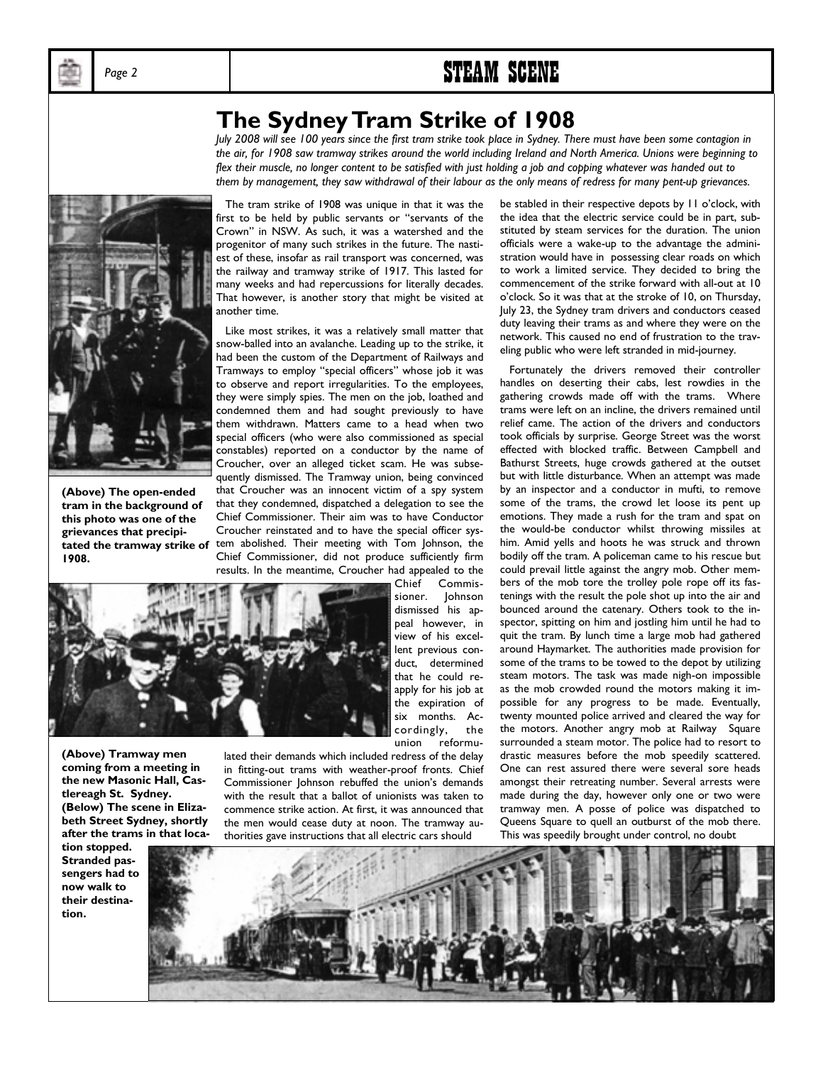

# Page 2 **STEAM SCENE**

# **The Sydney Tram Strike of 1908**

*July 2008 will see 100 years since the first tram strike took place in Sydney. There must have been some contagion in the air, for 1908 saw tramway strikes around the world including Ireland and North America. Unions were beginning to flex their muscle, no longer content to be satisfied with just holding a job and copping whatever was handed out to them by management, they saw withdrawal of their labour as the only means of redress for many pent-up grievances.* 



**(Above) The open-ended tram in the background of this photo was one of the grievances that precipitated the tramway strike of 1908.** 

 The tram strike of 1908 was unique in that it was the first to be held by public servants or "servants of the Crownî in NSW. As such, it was a watershed and the progenitor of many such strikes in the future. The nastiest of these, insofar as rail transport was concerned, was the railway and tramway strike of 1917. This lasted for many weeks and had repercussions for literally decades. That however, is another story that might be visited at another time.

 Like most strikes, it was a relatively small matter that snow-balled into an avalanche. Leading up to the strike, it had been the custom of the Department of Railways and Tramways to employ "special officers" whose job it was to observe and report irregularities. To the employees, they were simply spies. The men on the job, loathed and condemned them and had sought previously to have them withdrawn. Matters came to a head when two special officers (who were also commissioned as special constables) reported on a conductor by the name of Croucher, over an alleged ticket scam. He was subsequently dismissed. The Tramway union, being convinced that Croucher was an innocent victim of a spy system that they condemned, dispatched a delegation to see the Chief Commissioner. Their aim was to have Conductor Croucher reinstated and to have the special officer system abolished. Their meeting with Tom Johnson, the Chief Commissioner, did not produce sufficiently firm results. In the meantime, Croucher had appealed to the Chief Commis-



**(Above) Tramway men coming from a meeting in the new Masonic Hall, Castlereagh St. Sydney. (Below) The scene in Elizabeth Street Sydney, shortly after the trams in that loca-**

**tion stopped. Stranded passengers had to now walk to their destination.** 

lated their demands which included redress of the delay in fitting-out trams with weather-proof fronts. Chief Commissioner Johnson rebuffed the union's demands with the result that a ballot of unionists was taken to commence strike action. At first, it was announced that the men would cease duty at noon. The tramway authorities gave instructions that all electric cars should

be stabled in their respective depots by 11 o'clock, with the idea that the electric service could be in part, substituted by steam services for the duration. The union officials were a wake-up to the advantage the administration would have in possessing clear roads on which to work a limited service. They decided to bring the commencement of the strike forward with all-out at 10 o'clock. So it was that at the stroke of 10, on Thursday, July 23, the Sydney tram drivers and conductors ceased duty leaving their trams as and where they were on the network. This caused no end of frustration to the traveling public who were left stranded in mid-journey.

Fortunately the drivers removed their controller handles on deserting their cabs, lest rowdies in the gathering crowds made off with the trams. Where trams were left on an incline, the drivers remained until relief came. The action of the drivers and conductors took officials by surprise. George Street was the worst effected with blocked traffic. Between Campbell and Bathurst Streets, huge crowds gathered at the outset but with little disturbance. When an attempt was made by an inspector and a conductor in mufti, to remove some of the trams, the crowd let loose its pent up emotions. They made a rush for the tram and spat on the would-be conductor whilst throwing missiles at him. Amid yells and hoots he was struck and thrown bodily off the tram. A policeman came to his rescue but could prevail little against the angry mob. Other members of the mob tore the trolley pole rope off its fastenings with the result the pole shot up into the air and bounced around the catenary. Others took to the inspector, spitting on him and jostling him until he had to quit the tram. By lunch time a large mob had gathered around Haymarket. The authorities made provision for some of the trams to be towed to the depot by utilizing steam motors. The task was made nigh-on impossible as the mob crowded round the motors making it impossible for any progress to be made. Eventually, twenty mounted police arrived and cleared the way for the motors. Another angry mob at Railway Square surrounded a steam motor. The police had to resort to drastic measures before the mob speedily scattered. One can rest assured there were several sore heads amongst their retreating number. Several arrests were made during the day, however only one or two were tramway men. A posse of police was dispatched to Queens Square to quell an outburst of the mob there. This was speedily brought under control, no doubt

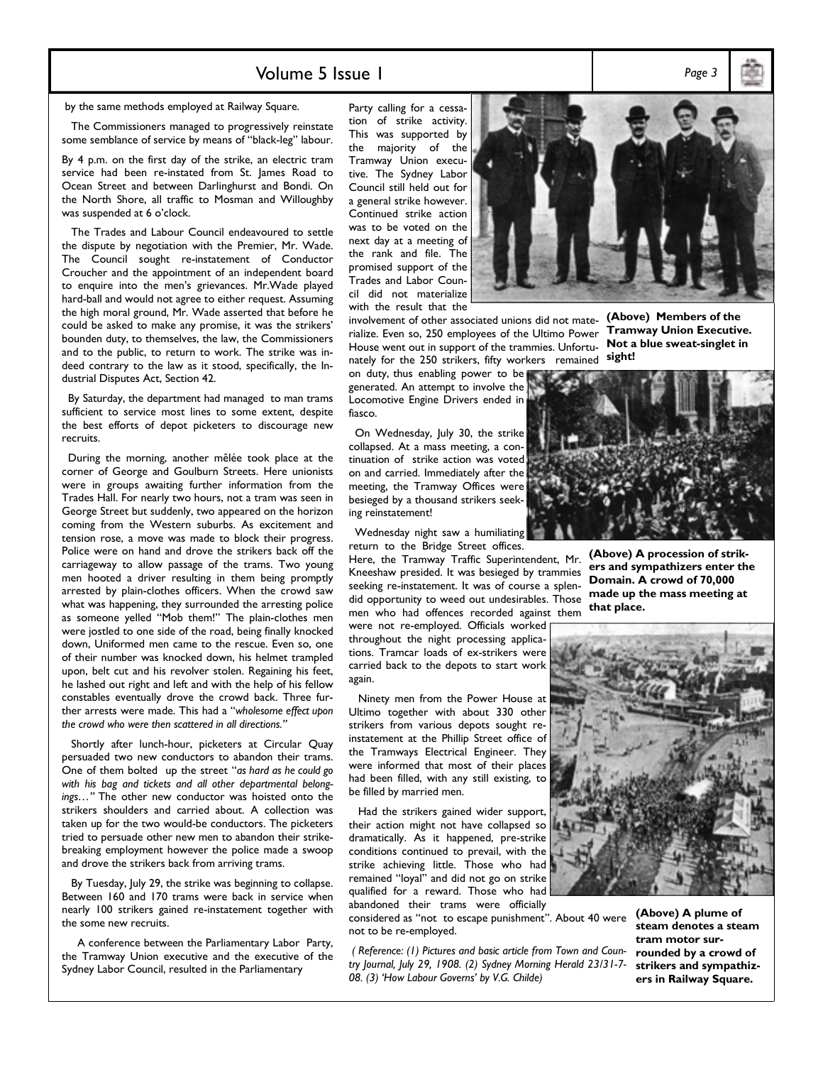# Volume 5 Issue 1 *Page 3*

by the same methods employed at Railway Square.

 The Commissioners managed to progressively reinstate some semblance of service by means of "black-leg" labour.

By 4 p.m. on the first day of the strike, an electric tram service had been re-instated from St. James Road to Ocean Street and between Darlinghurst and Bondi. On the North Shore, all traffic to Mosman and Willoughby was suspended at 6 o'clock.

 The Trades and Labour Council endeavoured to settle the dispute by negotiation with the Premier, Mr. Wade. The Council sought re-instatement of Conductor Croucher and the appointment of an independent board to enquire into the men's grievances. Mr. Wade played hard-ball and would not agree to either request. Assuming the high moral ground, Mr. Wade asserted that before he could be asked to make any promise, it was the strikers' bounden duty, to themselves, the law, the Commissioners and to the public, to return to work. The strike was indeed contrary to the law as it stood, specifically, the Industrial Disputes Act, Section 42.

 By Saturday, the department had managed to man trams sufficient to service most lines to some extent, despite the best efforts of depot picketers to discourage new recruits.

During the morning, another mêlée took place at the corner of George and Goulburn Streets. Here unionists were in groups awaiting further information from the Trades Hall. For nearly two hours, not a tram was seen in George Street but suddenly, two appeared on the horizon coming from the Western suburbs. As excitement and tension rose, a move was made to block their progress. Police were on hand and drove the strikers back off the carriageway to allow passage of the trams. Two young men hooted a driver resulting in them being promptly arrested by plain-clothes officers. When the crowd saw what was happening, they surrounded the arresting police as someone yelled "Mob them!" The plain-clothes men were jostled to one side of the road, being finally knocked down, Uniformed men came to the rescue. Even so, one of their number was knocked down, his helmet trampled upon, belt cut and his revolver stolen. Regaining his feet, he lashed out right and left and with the help of his fellow constables eventually drove the crowd back. Three further arrests were made. This had a "wholesome effect upon the crowd who were then scattered in all directions.<sup>7</sup>

 Shortly after lunch-hour, picketers at Circular Quay persuaded two new conductors to abandon their trams. One of them bolted up the street "as hard as he could go *with his bag and tickets and all other departmental belong*ings..." The other new conductor was hoisted onto the strikers shoulders and carried about. A collection was taken up for the two would-be conductors. The picketers tried to persuade other new men to abandon their strikebreaking employment however the police made a swoop and drove the strikers back from arriving trams.

 By Tuesday, July 29, the strike was beginning to collapse. Between 160 and 170 trams were back in service when nearly 100 strikers gained re-instatement together with the some new recruits.

 A conference between the Parliamentary Labor Party, the Tramway Union executive and the executive of the Sydney Labor Council, resulted in the Parliamentary

Party calling for a cessation of strike activity. This was supported by the majority of the Tramway Union executive. The Sydney Labor Council still held out for a general strike however. Continued strike action was to be voted on the next day at a meeting of the rank and file. The promised support of the Trades and Labor Council did not materialize with the result that the

involvement of other associated unions did not mate-**(Above) Members of the**  rialize. Even so, 250 employees of the Ultimo Power House went out in support of the trammies. Unfortunately for the 250 strikers, fifty workers remained **sight!** 

on duty, thus enabling power to be generated. An attempt to involve the Locomotive Engine Drivers ended in fiasco.

 On Wednesday, July 30, the strike collapsed. At a mass meeting, a continuation of strike action was voted on and carried. Immediately after the meeting, the Tramway Offices were besieged by a thousand strikers seeking reinstatement!

 Wednesday night saw a humiliating return to the Bridge Street offices.

Here, the Tramway Traffic Superintendent, Mr. Kneeshaw presided. It was besieged by trammies seeking re-instatement. It was of course a splendid opportunity to weed out undesirables. Those men who had offences recorded against them

were not re-employed. Officials worked throughout the night processing applications. Tramcar loads of ex-strikers were carried back to the depots to start work again.

 Ninety men from the Power House at Ultimo together with about 330 other strikers from various depots sought reinstatement at the Phillip Street office of the Tramways Electrical Engineer. They were informed that most of their places had been filled, with any still existing, to be filled by married men.

 Had the strikers gained wider support, their action might not have collapsed so dramatically. As it happened, pre-strike conditions continued to prevail, with the strike achieving little. Those who had remained "loyal" and did not go on strike qualified for a reward. Those who had abandoned their trams were officially

considered as "not to escape punishment". About 40 were not to be re-employed.

*( Reference: (1) Pictures and basic article from Town and Country Journal, July 29, 1908. (2) Sydney Morning Herald 23/31-7- 08. (3) ëHow Labour Governsí by V.G. Childe)* 



**Tramway Union Executive. Not a blue sweat-singlet in** 



**(Above) A procession of strikers and sympathizers enter the Domain. A crowd of 70,000 made up the mass meeting at that place.** 



**(Above) A plume of steam denotes a steam tram motor surrounded by a crowd of strikers and sympathizers in Railway Square.**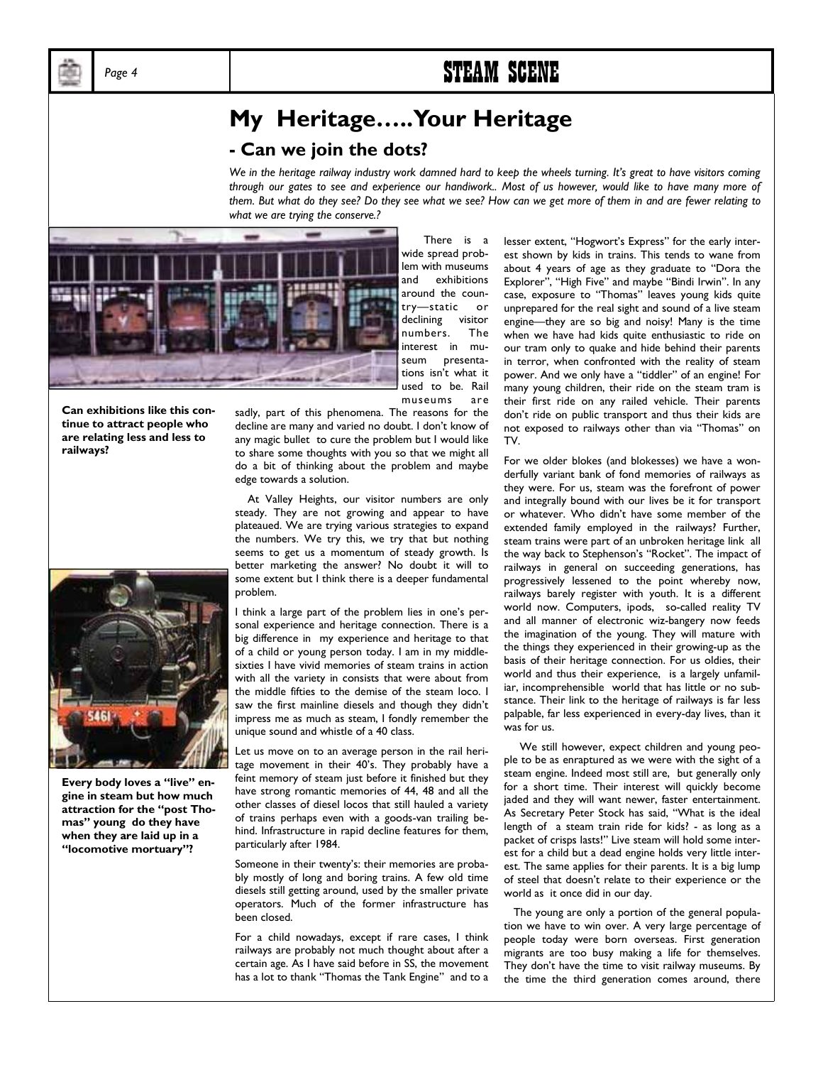

# Page 4 **STEAM SCENE**

# **My Heritage..... Your Heritage**

# **- Can we join the dots?**

We in the heritage railway industry work damned hard to keep the wheels turning. It's great to have visitors coming *through our gates to see and experience our handiwork.. Most of us however, would like to have many more of them. But what do they see? Do they see what we see? How can we get more of them in and are fewer relating to what we are trying the conserve.?* 



 There is a wide spread problem with museums and exhibitions around the country-static or declining visitor numbers. The interest in museum presentations isn't what it used to be. Rail museums are

**Can exhibitions like this continue to attract people who are relating less and less to railways?** 



Every body loves a "live" en**gine in steam but how much**  attraction for the "post Thomas" young do they have **when they are laid up in a ìlocomotive mortuaryî?** 

sadly, part of this phenomena. The reasons for the decline are many and varied no doubt. I don't know of any magic bullet to cure the problem but I would like to share some thoughts with you so that we might all do a bit of thinking about the problem and maybe edge towards a solution.

 At Valley Heights, our visitor numbers are only steady. They are not growing and appear to have plateaued. We are trying various strategies to expand the numbers. We try this, we try that but nothing seems to get us a momentum of steady growth. Is better marketing the answer? No doubt it will to some extent but I think there is a deeper fundamental problem.

I think a large part of the problem lies in one's personal experience and heritage connection. There is a big difference in my experience and heritage to that of a child or young person today. I am in my middlesixties I have vivid memories of steam trains in action with all the variety in consists that were about from the middle fifties to the demise of the steam loco. I saw the first mainline diesels and though they didn't impress me as much as steam, I fondly remember the unique sound and whistle of a 40 class.

Let us move on to an average person in the rail heritage movement in their 40's. They probably have a feint memory of steam just before it finished but they have strong romantic memories of 44, 48 and all the other classes of diesel locos that still hauled a variety of trains perhaps even with a goods-van trailing behind. Infrastructure in rapid decline features for them, particularly after 1984.

Someone in their twenty's: their memories are probably mostly of long and boring trains. A few old time diesels still getting around, used by the smaller private operators. Much of the former infrastructure has been closed.

For a child nowadays, except if rare cases, I think railways are probably not much thought about after a certain age. As I have said before in SS, the movement has a lot to thank "Thomas the Tank Engine" and to a

lesser extent, "Hogwort's Express" for the early interest shown by kids in trains. This tends to wane from about 4 years of age as they graduate to "Dora the Explorer", "High Five" and maybe "Bindi Irwin". In any case, exposure to "Thomas" leaves young kids quite unprepared for the real sight and sound of a live steam engine—they are so big and noisy! Many is the time when we have had kids quite enthusiastic to ride on our tram only to quake and hide behind their parents in terror, when confronted with the reality of steam power. And we only have a "tiddler" of an engine! For many young children, their ride on the steam tram is their first ride on any railed vehicle. Their parents don't ride on public transport and thus their kids are not exposed to railways other than via "Thomas" on TV.

For we older blokes (and blokesses) we have a wonderfully variant bank of fond memories of railways as they were. For us, steam was the forefront of power and integrally bound with our lives be it for transport or whatever. Who didn't have some member of the extended family employed in the railways? Further, steam trains were part of an unbroken heritage link all the way back to Stephenson's "Rocket". The impact of railways in general on succeeding generations, has progressively lessened to the point whereby now, railways barely register with youth. It is a different world now. Computers, ipods, so-called reality TV and all manner of electronic wiz-bangery now feeds the imagination of the young. They will mature with the things they experienced in their growing-up as the basis of their heritage connection. For us oldies, their world and thus their experience, is a largely unfamiliar, incomprehensible world that has little or no substance. Their link to the heritage of railways is far less palpable, far less experienced in every-day lives, than it was for us.

 We still however, expect children and young people to be as enraptured as we were with the sight of a steam engine. Indeed most still are, but generally only for a short time. Their interest will quickly become jaded and they will want newer, faster entertainment. As Secretary Peter Stock has said, "What is the ideal length of a steam train ride for kids? - as long as a packet of crisps lasts!" Live steam will hold some interest for a child but a dead engine holds very little interest. The same applies for their parents. It is a big lump of steel that doesn't relate to their experience or the world as it once did in our day.

 The young are only a portion of the general population we have to win over. A very large percentage of people today were born overseas. First generation migrants are too busy making a life for themselves. They don't have the time to visit railway museums. By the time the third generation comes around, there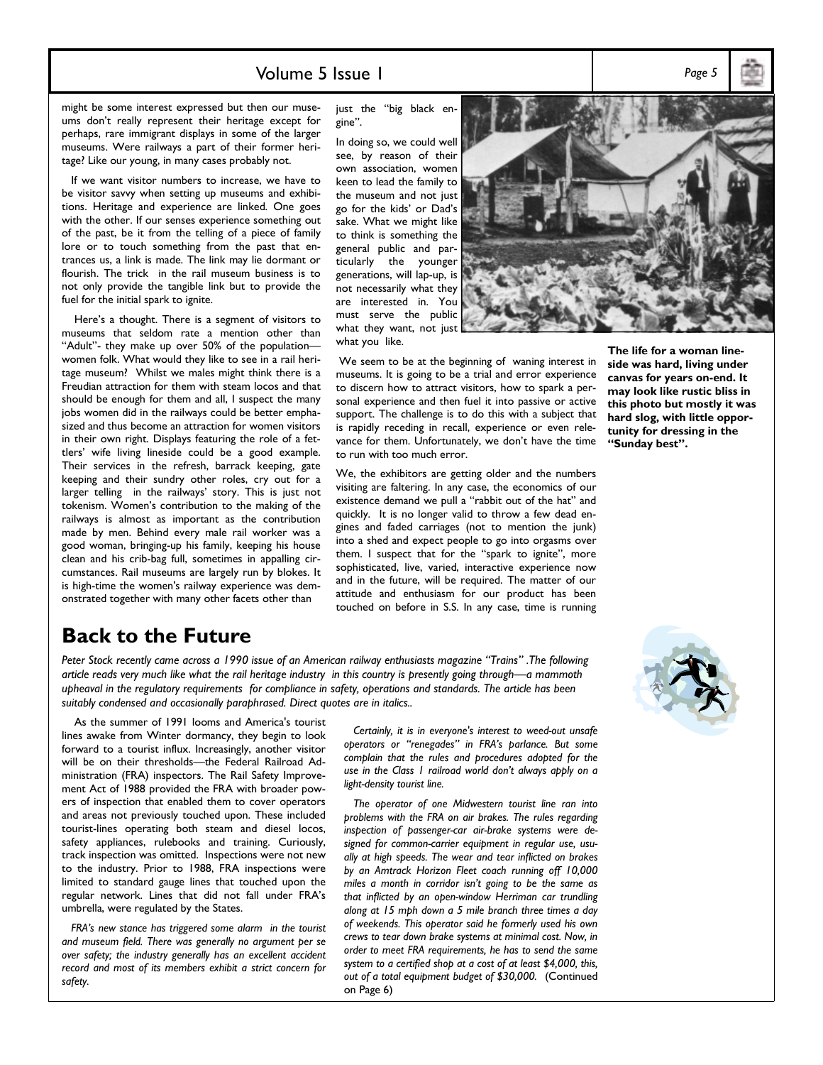# Volume 5 Issue 1 *Page 5*

might be some interest expressed but then our museums donít really represent their heritage except for perhaps, rare immigrant displays in some of the larger museums. Were railways a part of their former heritage? Like our young, in many cases probably not.

 If we want visitor numbers to increase, we have to be visitor savvy when setting up museums and exhibitions. Heritage and experience are linked. One goes with the other. If our senses experience something out of the past, be it from the telling of a piece of family lore or to touch something from the past that entrances us, a link is made. The link may lie dormant or flourish. The trick in the rail museum business is to not only provide the tangible link but to provide the fuel for the initial spark to ignite.

Here's a thought. There is a segment of visitors to museums that seldom rate a mention other than "Adult"- they make up over 50% of the populationwomen folk. What would they like to see in a rail heritage museum? Whilst we males might think there is a Freudian attraction for them with steam locos and that should be enough for them and all, I suspect the many jobs women did in the railways could be better emphasized and thus become an attraction for women visitors in their own right. Displays featuring the role of a fettlers' wife living lineside could be a good example. Their services in the refresh, barrack keeping, gate keeping and their sundry other roles, cry out for a larger telling in the railways' story. This is just not tokenism. Women's contribution to the making of the railways is almost as important as the contribution made by men. Behind every male rail worker was a good woman, bringing-up his family, keeping his house clean and his crib-bag full, sometimes in appalling circumstances. Rail museums are largely run by blokes. It is high-time the women's railway experience was demonstrated together with many other facets other than

just the "big black en gine".

In doing so, we could well see, by reason of their own association, women keen to lead the family to the museum and not just go for the kids' or Dad's sake. What we might like to think is something the general public and particularly the younger generations, will lap-up, is not necessarily what they are interested in. You must serve the public what they want, not just what you like.



 We seem to be at the beginning of waning interest in museums. It is going to be a trial and error experience to discern how to attract visitors, how to spark a personal experience and then fuel it into passive or active support. The challenge is to do this with a subject that is rapidly receding in recall, experience or even relevance for them. Unfortunately, we don't have the time to run with too much error.

We, the exhibitors are getting older and the numbers visiting are faltering. In any case, the economics of our existence demand we pull a "rabbit out of the hat" and quickly. It is no longer valid to throw a few dead engines and faded carriages (not to mention the junk) into a shed and expect people to go into orgasms over them. I suspect that for the "spark to ignite", more sophisticated, live, varied, interactive experience now and in the future, will be required. The matter of our attitude and enthusiasm for our product has been touched on before in S.S. In any case, time is running

**The life for a woman lineside was hard, living under canvas for years on-end. It may look like rustic bliss in this photo but mostly it was hard slog, with little opportunity for dressing in the**  "Sunday best".

# **Back to the Future**

Peter Stock recently came across a 1990 issue of an American railway enthusiasts magazine "Trains". The following article reads very much like what the rail heritage industry in this country is presently going through—a mammoth *upheaval in the regulatory requirements for compliance in safety, operations and standards. The article has been suitably condensed and occasionally paraphrased. Direct quotes are in italics..* 

 As the summer of 1991 looms and America's tourist lines awake from Winter dormancy, they begin to look forward to a tourist influx. Increasingly, another visitor will be on their thresholds-the Federal Railroad Administration (FRA) inspectors. The Rail Safety Improvement Act of 1988 provided the FRA with broader powers of inspection that enabled them to cover operators and areas not previously touched upon. These included tourist-lines operating both steam and diesel locos, safety appliances, rulebooks and training. Curiously, track inspection was omitted. Inspections were not new to the industry. Prior to 1988, FRA inspections were limited to standard gauge lines that touched upon the regular network. Lines that did not fall under FRAís umbrella, were regulated by the States.

 *FRAís new stance has triggered some alarm in the tourist and museum field. There was generally no argument per se over safety; the industry generally has an excellent accident record and most of its members exhibit a strict concern for safety.* 

 *Certainly, it is in everyone's interest to weed-out unsafe operators or ìrenegadesî in FRAís parlance. But some complain that the rules and procedures adopted for the use in the Class 1 railroad world donít always apply on a light-density tourist line.* 

 *The operator of one Midwestern tourist line ran into problems with the FRA on air brakes. The rules regarding inspection of passenger-car air-brake systems were designed for common-carrier equipment in regular use, usually at high speeds. The wear and tear inflicted on brakes by an Amtrack Horizon Fleet coach running off 10,000 miles a month in corridor isnít going to be the same as that inflicted by an open-window Herriman car trundling along at 15 mph down a 5 mile branch three times a day of weekends. This operator said he formerly used his own crews to tear down brake systems at minimal cost. Now, in order to meet FRA requirements, he has to send the same system to a certified shop at a cost of at least \$4,000, this, out of a total equipment budget of \$30,000.* (Continued on Page 6)